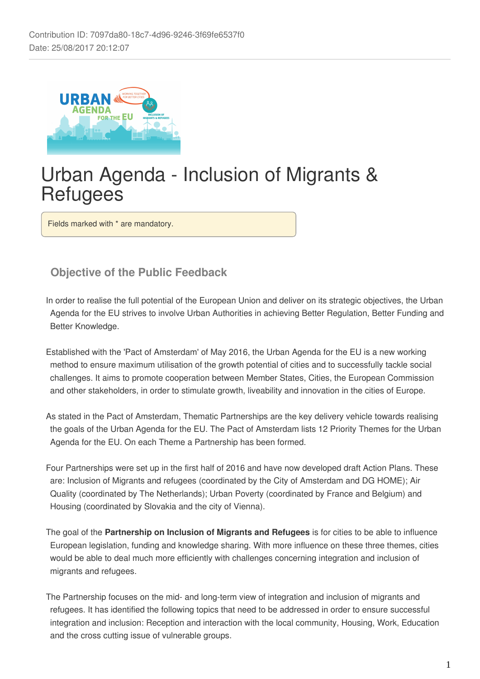

# Urban Agenda - Inclusion of Migrants & **Refugees**

Fields marked with \* are mandatory.

# **Objective of the Public Feedback**

In order to realise the full potential of the European Union and deliver on its strategic objectives, the Urban Agenda for the EU strives to involve Urban Authorities in achieving Better Regulation, Better Funding and Better Knowledge.

Established with the 'Pact of Amsterdam' of May 2016, the Urban Agenda for the EU is a new working method to ensure maximum utilisation of the growth potential of cities and to successfully tackle social challenges. It aims to promote cooperation between Member States, Cities, the European Commission and other stakeholders, in order to stimulate growth, liveability and innovation in the cities of Europe.

As stated in the Pact of Amsterdam, Thematic Partnerships are the key delivery vehicle towards realising the goals of the Urban Agenda for the EU. The Pact of Amsterdam lists 12 Priority Themes for the Urban Agenda for the EU. On each Theme a Partnership has been formed.

Four Partnerships were set up in the first half of 2016 and have now developed draft Action Plans. These are: Inclusion of Migrants and refugees (coordinated by the City of Amsterdam and DG HOME); Air Quality (coordinated by The Netherlands); Urban Poverty (coordinated by France and Belgium) and Housing (coordinated by Slovakia and the city of Vienna).

The goal of the **Partnership on Inclusion of Migrants and Refugees** is for cities to be able to influence European legislation, funding and knowledge sharing. With more influence on these three themes, cities would be able to deal much more efficiently with challenges concerning integration and inclusion of migrants and refugees.

The Partnership focuses on the mid- and long-term view of integration and inclusion of migrants and refugees. It has identified the following topics that need to be addressed in order to ensure successful integration and inclusion: Reception and interaction with the local community, Housing, Work, Education and the cross cutting issue of vulnerable groups.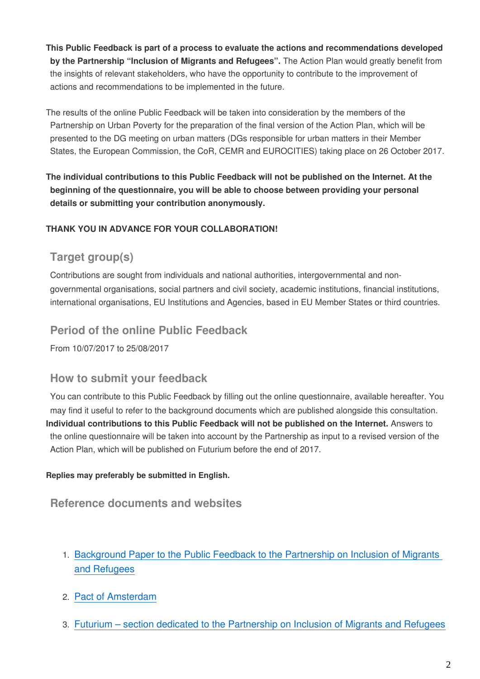**This Public Feedback is part of a process to evaluate the actions and recommendations developed by the Partnership "Inclusion of Migrants and Refugees".** The Action Plan would greatly benefit from the insights of relevant stakeholders, who have the opportunity to contribute to the improvement of actions and recommendations to be implemented in the future.

The results of the online Public Feedback will be taken into consideration by the members of the Partnership on Urban Poverty for the preparation of the final version of the Action Plan, which will be presented to the DG meeting on urban matters (DGs responsible for urban matters in their Member States, the European Commission, the CoR, CEMR and EUROCITIES) taking place on 26 October 2017.

**The individual contributions to this Public Feedback will not be published on the Internet. At the beginning of the questionnaire, you will be able to choose between providing your personal details or submitting your contribution anonymously.**

### **THANK YOU IN ADVANCE FOR YOUR COLLABORATION!**

# **Target group(s)**

Contributions are sought from individuals and national authorities, intergovernmental and nongovernmental organisations, social partners and civil society, academic institutions, financial institutions, international organisations, EU Institutions and Agencies, based in EU Member States or third countries.

## **Period of the online Public Feedback**

From 10/07/2017 to 25/08/2017

### **How to submit your feedback**

You can contribute to this Public Feedback by filling out the online questionnaire, available hereafter. You may find it useful to refer to the background documents which are published alongside this consultation. **Individual contributions to this Public Feedback will not be published on the Internet.** Answers to the online questionnaire will be taken into account by the Partnership as input to a revised version of the Action Plan, which will be published on Futurium before the end of 2017.

#### **Replies may preferably be submitted in English.**

### **Reference documents and websites**

- 1. [Background Paper to the Public Feedback to the Partnership on Inclusion of Migrants](https://ec.europa.eu/futurium/en/inclusion-migrants-and-refugees/background-paper-public-feedback)  [and Refugees](https://ec.europa.eu/futurium/en/inclusion-migrants-and-refugees/background-paper-public-feedback)
- 2. [Pact of Amsterdam](https://ec.europa.eu/futurium/en/content/pact-amsterdam)
- 3. [Futurium section dedicated to the Partnership on Inclusion of Migrants and Refugees](https://ec.europa.eu/futurium/en/inclusion-of-migrants-and-refugees)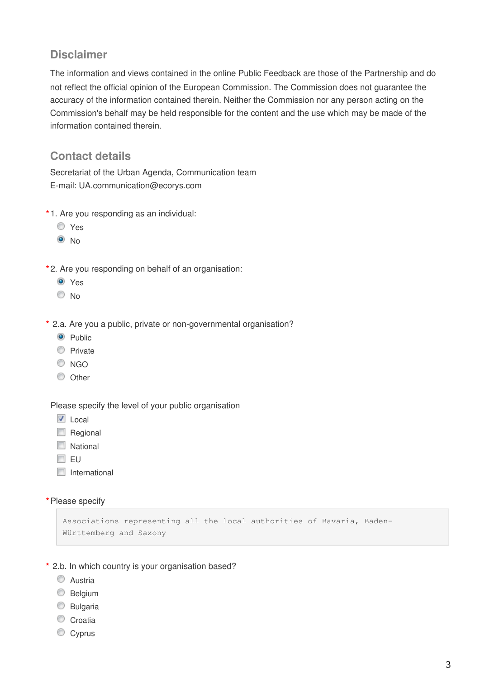## **Disclaimer**

The information and views contained in the online Public Feedback are those of the Partnership and do not reflect the official opinion of the European Commission. The Commission does not guarantee the accuracy of the information contained therein. Neither the Commission nor any person acting on the Commission's behalf may be held responsible for the content and the use which may be made of the information contained therein.

# **Contact details**

Secretariat of the Urban Agenda, Communication team E-mail: UA.communication@ecorys.com

- **\*** 1. Are you responding as an individual:
	- Yes
	- $\odot$  No
- **\*** 2. Are you responding on behalf of an organisation:
	- O Yes
	- No
- **\*** 2.a. Are you a public, private or non-governmental organisation?
	- **O** Public
	- **Private**
	- C NGO
	- O Other

Please specify the level of your public organisation

- $\overline{\mathsf{V}}$  Local
- Regional
- **National**
- $\Box$  EU
- $\Box$  International

**\***Please specify

```
Associations representing all the local authorities of Bavaria, Baden-
Württemberg and Saxony
```
- **\*** 2.b. In which country is your organisation based?
	- **C** Austria
	- **Belgium**
	- C Bulgaria
	- Croatia
	- Cyprus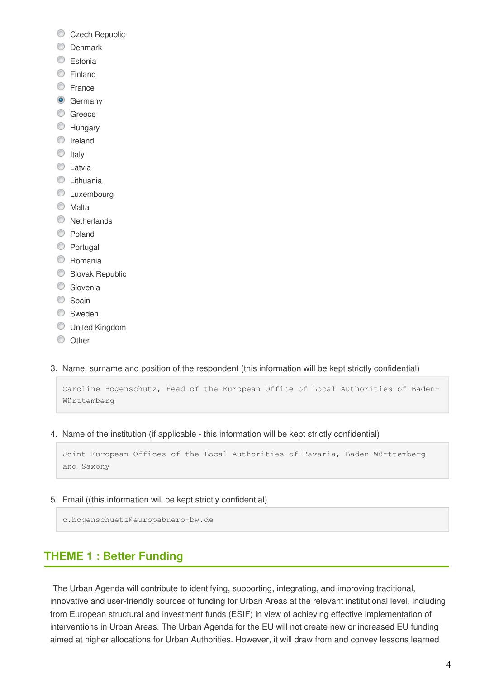- Czech Republic
- **O** Denmark
- C Estonia
- **Einland**
- **E**rance
- **G** Germany
- C Greece
- **EXT** Hungary
- **O** Ireland
- $\circ$  Italy
- C Latvia
- **C** Lithuania
- C Luxembourg
- **Malta**
- **Netherlands**
- C Poland
- **Portugal**
- C Romania
- Slovak Republic
- **Slovenia**
- Spain
- **Sweden**
- United Kingdom
- $\circledcirc$  Other
- 3. Name, surname and position of the respondent (this information will be kept strictly confidential)

```
Caroline Bogenschütz, Head of the European Office of Local Authorities of Baden-
Württemberg
```
4. Name of the institution (if applicable - this information will be kept strictly confidential)

```
Joint European Offices of the Local Authorities of Bavaria, Baden-Württemberg 
and Saxony
```
5. Email ((this information will be kept strictly confidential)

c.bogenschuetz@europabuero-bw.de

# **THEME 1 : Better Funding**

 The Urban Agenda will contribute to identifying, supporting, integrating, and improving traditional, innovative and user-friendly sources of funding for Urban Areas at the relevant institutional level, including from European structural and investment funds (ESIF) in view of achieving effective implementation of interventions in Urban Areas. The Urban Agenda for the EU will not create new or increased EU funding aimed at higher allocations for Urban Authorities. However, it will draw from and convey lessons learned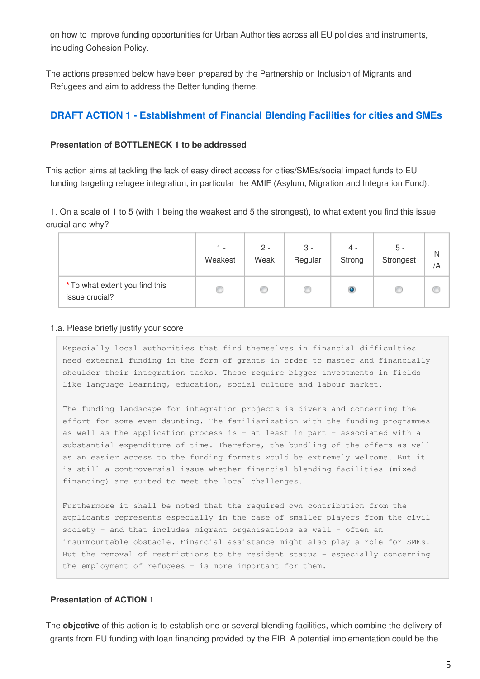on how to improve funding opportunities for Urban Authorities across all EU policies and instruments, including Cohesion Policy.

The actions presented below have been prepared by the Partnership on Inclusion of Migrants and Refugees and aim to address the Better funding theme.

### **[DRAFT ACTION 1 - Establishment of Financial Blending Facilities for cities and SMEs](https://ec.europa.eu/futurium/en/inclusion-migrants-and-refugees/background-paper-public-feedback#Action%201)**

#### **Presentation of BOTTLENECK 1 to be addressed**

This action aims at tackling the lack of easy direct access for cities/SMEs/social impact funds to EU funding targeting refugee integration, in particular the AMIF (Asylum, Migration and Integration Fund).

1. On a scale of 1 to 5 (with 1 being the weakest and 5 the strongest), to what extent you find this issue crucial and why?

|                                                  | 1 -     | $2 -$ | $3 -$   | $4 -$  | 5 -       | N  |
|--------------------------------------------------|---------|-------|---------|--------|-----------|----|
|                                                  | Weakest | Weak  | Regular | Strong | Strongest | /A |
| * To what extent you find this<br>issue crucial? |         |       |         | O      |           |    |

#### 1.a. Please briefly justify your score

Especially local authorities that find themselves in financial difficulties need external funding in the form of grants in order to master and financially shoulder their integration tasks. These require bigger investments in fields like language learning, education, social culture and labour market.

The funding landscape for integration projects is divers and concerning the effort for some even daunting. The familiarization with the funding programmes as well as the application process is – at least in part – associated with a substantial expenditure of time. Therefore, the bundling of the offers as well as an easier access to the funding formats would be extremely welcome. But it is still a controversial issue whether financial blending facilities (mixed financing) are suited to meet the local challenges.

Furthermore it shall be noted that the required own contribution from the applicants represents especially in the case of smaller players from the civil society – and that includes migrant organisations as well – often an insurmountable obstacle. Financial assistance might also play a role for SMEs. But the removal of restrictions to the resident status – especially concerning the employment of refugees – is more important for them.

#### **Presentation of ACTION 1**

The **objective** of this action is to establish one or several blending facilities, which combine the delivery of grants from EU funding with loan financing provided by the EIB. A potential implementation could be the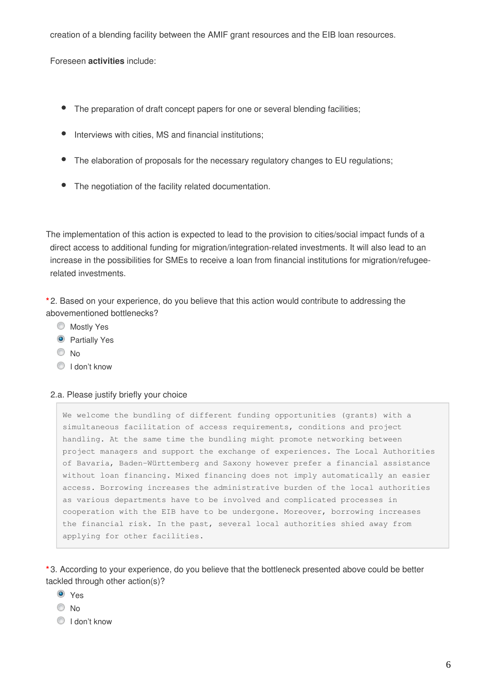creation of a blending facility between the AMIF grant resources and the EIB loan resources.

Foreseen **activities** include:

- The preparation of draft concept papers for one or several blending facilities;
- Interviews with cities, MS and financial institutions;
- The elaboration of proposals for the necessary regulatory changes to EU regulations;
- The negotiation of the facility related documentation.

The implementation of this action is expected to lead to the provision to cities/social impact funds of a direct access to additional funding for migration/integration-related investments. It will also lead to an increase in the possibilities for SMEs to receive a loan from financial institutions for migration/refugeerelated investments.

**\*** 2. Based on your experience, do you believe that this action would contribute to addressing the abovementioned bottlenecks?

- **Mostly Yes**
- **O** Partially Yes
- $\odot$  No
- <sup>O</sup> I don't know

#### 2.a. Please justify briefly your choice

We welcome the bundling of different funding opportunities (grants) with a simultaneous facilitation of access requirements, conditions and project handling. At the same time the bundling might promote networking between project managers and support the exchange of experiences. The Local Authorities of Bavaria, Baden-Württemberg and Saxony however prefer a financial assistance without loan financing. Mixed financing does not imply automatically an easier access. Borrowing increases the administrative burden of the local authorities as various departments have to be involved and complicated processes in cooperation with the EIB have to be undergone. Moreover, borrowing increases the financial risk. In the past, several local authorities shied away from applying for other facilities.

**\*** 3. According to your experience, do you believe that the bottleneck presented above could be better tackled through other action(s)?

- Yes
- $\odot$  No
- I don't know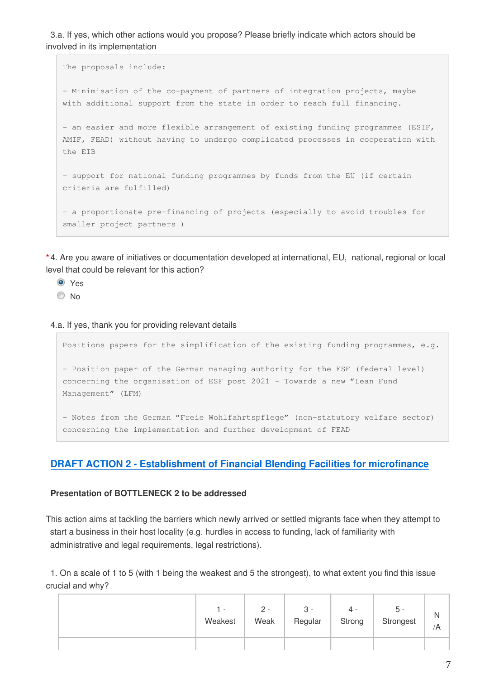3.a. If yes, which other actions would you propose? Please briefly indicate which actors should be involved in its implementation

```
The proposals include: 
- Minimisation of the co-payment of partners of integration projects, maybe 
with additional support from the state in order to reach full financing. 
- an easier and more flexible arrangement of existing funding programmes (ESIF,
AMIF, FEAD) without having to undergo complicated processes in cooperation with 
the EIB
- support for national funding programmes by funds from the EU (if certain 
criteria are fulfilled)
- a proportionate pre-financing of projects (especially to avoid troubles for 
smaller project partners )
```
**\*** 4. Are you aware of initiatives or documentation developed at international, EU, national, regional or local level that could be relevant for this action?

- **O** Yes
- $\odot$  No

4.a. If yes, thank you for providing relevant details

Positions papers for the simplification of the existing funding programmes, e.g. - Position paper of the German managing authority for the ESF (federal level) concerning the organisation of ESF post 2021 – Towards a new "Lean Fund Management" (LFM)

- Notes from the German "Freie Wohlfahrtspflege" (non-statutory welfare sector) concerning the implementation and further development of FEAD

### **[DRAFT ACTION 2 - Establishment of Financial Blending Facilities for microfinance](https://ec.europa.eu/futurium/en/inclusion-migrants-and-refugees/background-paper-public-feedback#Action%202)**

#### **Presentation of BOTTLENECK 2 to be addressed**

This action aims at tackling the barriers which newly arrived or settled migrants face when they attempt to start a business in their host locality (e.g. hurdles in access to funding, lack of familiarity with administrative and legal requirements, legal restrictions).

1. On a scale of 1 to 5 (with 1 being the weakest and 5 the strongest), to what extent you find this issue crucial and why?

|  | $\overline{\phantom{a}}$<br>Weakest | 2 -<br>Weak | 3 -<br>Regular | 4<br>Strong | . ს<br>Strongest | N<br>/A |
|--|-------------------------------------|-------------|----------------|-------------|------------------|---------|
|  |                                     |             |                |             |                  |         |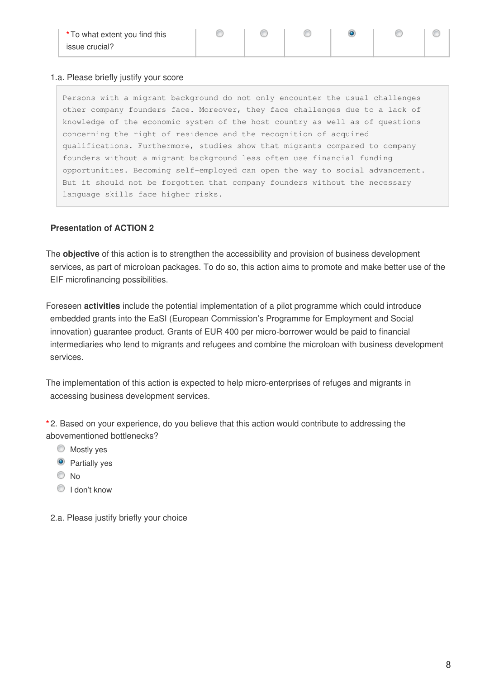#### 1.a. Please briefly justify your score

Persons with a migrant background do not only encounter the usual challenges other company founders face. Moreover, they face challenges due to a lack of knowledge of the economic system of the host country as well as of questions concerning the right of residence and the recognition of acquired qualifications. Furthermore, studies show that migrants compared to company founders without a migrant background less often use financial funding opportunities. Becoming self-employed can open the way to social advancement. But it should not be forgotten that company founders without the necessary language skills face higher risks.

⊙

#### **Presentation of ACTION 2**

The **objective** of this action is to strengthen the accessibility and provision of business development services, as part of microloan packages. To do so, this action aims to promote and make better use of the EIF microfinancing possibilities.

Foreseen **activities** include the potential implementation of a pilot programme which could introduce embedded grants into the EaSI (European Commission's Programme for Employment and Social innovation) guarantee product. Grants of EUR 400 per micro-borrower would be paid to financial intermediaries who lend to migrants and refugees and combine the microloan with business development services.

The implementation of this action is expected to help micro-enterprises of refuges and migrants in accessing business development services.

**\*** 2. Based on your experience, do you believe that this action would contribute to addressing the abovementioned bottlenecks?

- Mostly yes
- **O** Partially yes
- © No
- **I** don't know
- 2.a. Please justify briefly your choice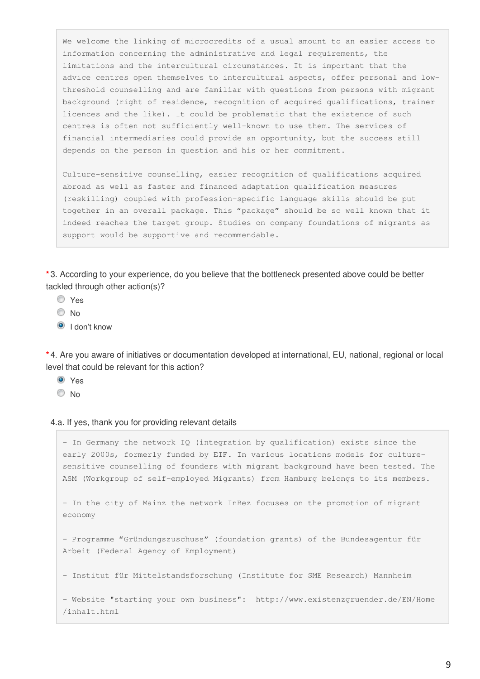We welcome the linking of microcredits of a usual amount to an easier access to information concerning the administrative and legal requirements, the limitations and the intercultural circumstances. It is important that the advice centres open themselves to intercultural aspects, offer personal and lowthreshold counselling and are familiar with questions from persons with migrant background (right of residence, recognition of acquired qualifications, trainer licences and the like). It could be problematic that the existence of such centres is often not sufficiently well-known to use them. The services of financial intermediaries could provide an opportunity, but the success still depends on the person in question and his or her commitment.

Culture-sensitive counselling, easier recognition of qualifications acquired abroad as well as faster and financed adaptation qualification measures (reskilling) coupled with profession-specific language skills should be put together in an overall package. This "package" should be so well known that it indeed reaches the target group. Studies on company foundations of migrants as support would be supportive and recommendable.

**\*** 3. According to your experience, do you believe that the bottleneck presented above could be better tackled through other action(s)?

- Yes
- $\odot$  No
- I don't know

**\*** 4. Are you aware of initiatives or documentation developed at international, EU, national, regional or local level that could be relevant for this action?

- **O** Yes
- © No

#### 4.a. If yes, thank you for providing relevant details

- In Germany the network IQ (integration by qualification) exists since the early 2000s, formerly funded by EIF. In various locations models for culturesensitive counselling of founders with migrant background have been tested. The ASM (Workgroup of self-employed Migrants) from Hamburg belongs to its members. - In the city of Mainz the network InBez focuses on the promotion of migrant economy - Programme "Gründungszuschuss" (foundation grants) of the Bundesagentur für Arbeit (Federal Agency of Employment) - Institut für Mittelstandsforschung (Institute for SME Research) Mannheim - Website "starting your own business": http://www.existenzgruender.de/EN/Home /inhalt.html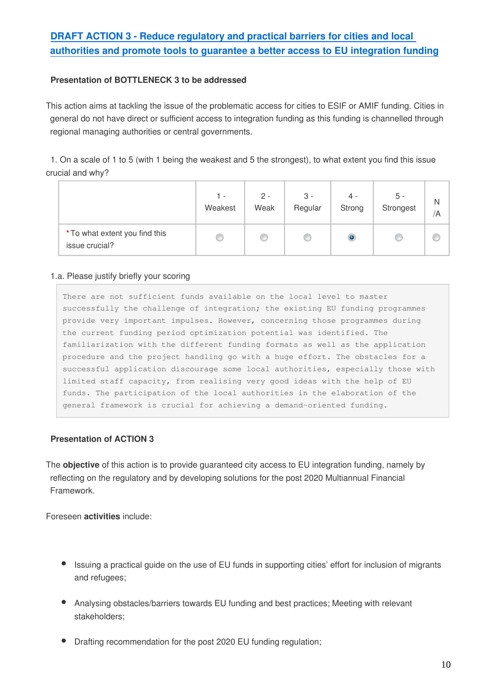# **[DRAFT ACTION 3 - Reduce regulatory and practical barriers for cities and local](https://ec.europa.eu/futurium/en/inclusion-migrants-and-refugees/background-paper-public-feedback#Action%203)  [authorities and promote tools to guarantee a better access to EU integration funding](https://ec.europa.eu/futurium/en/inclusion-migrants-and-refugees/background-paper-public-feedback#Action%203)**

#### **Presentation of BOTTLENECK 3 to be addressed**

This action aims at tackling the issue of the problematic access for cities to ESIF or AMIF funding. Cities in general do not have direct or sufficient access to integration funding as this funding is channelled through regional managing authorities or central governments.

1. On a scale of 1 to 5 (with 1 being the weakest and 5 the strongest), to what extent you find this issue crucial and why?

|                                                  | 1 -     | $2 -$ | $3 -$   | $4 -$  | 5 -       | Ν  |
|--------------------------------------------------|---------|-------|---------|--------|-----------|----|
|                                                  | Weakest | Weak  | Regular | Strong | Strongest | /A |
| * To what extent you find this<br>issue crucial? |         |       |         | O      |           |    |

#### 1.a. Please justify briefly your scoring

There are not sufficient funds available on the local level to master successfully the challenge of integration; the existing EU funding programmes provide very important impulses. However, concerning those programmes during the current funding period optimization potential was identified. The familiarization with the different funding formats as well as the application procedure and the project handling go with a huge effort. The obstacles for a successful application discourage some local authorities, especially those with limited staff capacity, from realising very good ideas with the help of EU funds. The participation of the local authorities in the elaboration of the general framework is crucial for achieving a demand-oriented funding.

#### **Presentation of ACTION 3**

The **objective** of this action is to provide guaranteed city access to EU integration funding, namely by reflecting on the regulatory and by developing solutions for the post 2020 Multiannual Financial Framework.

Foreseen **activities** include:

- Issuing a practical guide on the use of EU funds in supporting cities' effort for inclusion of migrants and refugees;
- Analysing obstacles/barriers towards EU funding and best practices; Meeting with relevant stakeholders;
- Drafting recommendation for the post 2020 EU funding regulation;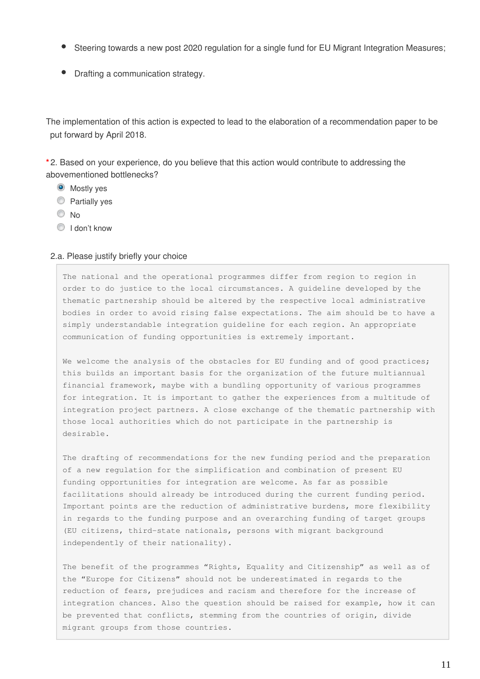- Steering towards a new post 2020 regulation for a single fund for EU Migrant Integration Measures;
- Drafting a communication strategy.

The implementation of this action is expected to lead to the elaboration of a recommendation paper to be put forward by April 2018.

**\*** 2. Based on your experience, do you believe that this action would contribute to addressing the abovementioned bottlenecks?

- **O** Mostly yes
- **Partially yes**
- © No
- I don't know

#### 2.a. Please justify briefly your choice

The national and the operational programmes differ from region to region in order to do justice to the local circumstances. A guideline developed by the thematic partnership should be altered by the respective local administrative bodies in order to avoid rising false expectations. The aim should be to have a simply understandable integration guideline for each region. An appropriate communication of funding opportunities is extremely important.

We welcome the analysis of the obstacles for EU funding and of good practices; this builds an important basis for the organization of the future multiannual financial framework, maybe with a bundling opportunity of various programmes for integration. It is important to gather the experiences from a multitude of integration project partners. A close exchange of the thematic partnership with those local authorities which do not participate in the partnership is desirable.

The drafting of recommendations for the new funding period and the preparation of a new regulation for the simplification and combination of present EU funding opportunities for integration are welcome. As far as possible facilitations should already be introduced during the current funding period. Important points are the reduction of administrative burdens, more flexibility in regards to the funding purpose and an overarching funding of target groups (EU citizens, third-state nationals, persons with migrant background independently of their nationality).

The benefit of the programmes "Rights, Equality and Citizenship" as well as of the "Europe for Citizens" should not be underestimated in regards to the reduction of fears, prejudices and racism and therefore for the increase of integration chances. Also the question should be raised for example, how it can be prevented that conflicts, stemming from the countries of origin, divide migrant groups from those countries.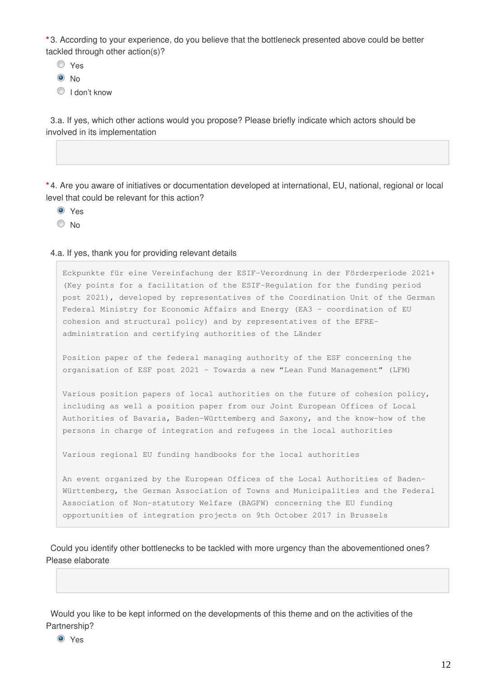**\*** 3. According to your experience, do you believe that the bottleneck presented above could be better tackled through other action(s)?

Yes

 $\odot$  No

**I** don't know

3.a. If yes, which other actions would you propose? Please briefly indicate which actors should be involved in its implementation

**\*** 4. Are you aware of initiatives or documentation developed at international, EU, national, regional or local level that could be relevant for this action?

- <sup>O</sup> Yes
- © No

4.a. If yes, thank you for providing relevant details

Eckpunkte für eine Vereinfachung der ESIF-Verordnung in der Förderperiode 2021+ (Key points for a facilitation of the ESIF-Regulation for the funding period post 2021), developed by representatives of the Coordination Unit of the German Federal Ministry for Economic Affairs and Energy (EA3 – coordination of EU cohesion and structural policy) and by representatives of the EFREadministration and certifying authorities of the Länder

Position paper of the federal managing authority of the ESF concerning the organisation of ESF post 2021 – Towards a new "Lean Fund Management" (LFM)

Various position papers of local authorities on the future of cohesion policy, including as well a position paper from our Joint European Offices of Local Authorities of Bavaria, Baden-Württemberg and Saxony, and the know-how of the persons in charge of integration and refugees in the local authorities

Various regional EU funding handbooks for the local authorities

An event organized by the European Offices of the Local Authorities of Baden-Württemberg, the German Association of Towns and Municipalities and the Federal Association of Non-statutory Welfare (BAGFW) concerning the EU funding opportunities of integration projects on 9th October 2017 in Brussels

Could you identify other bottlenecks to be tackled with more urgency than the abovementioned ones? Please elaborate

Would you like to be kept informed on the developments of this theme and on the activities of the Partnership?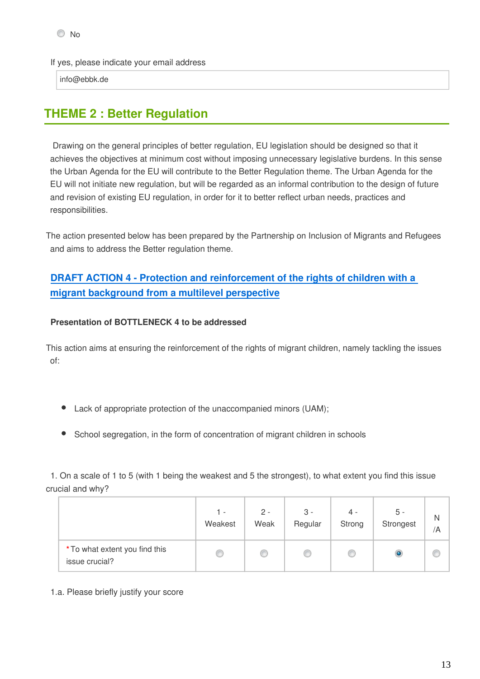If yes, please indicate your email address

info@ebbk.de

# **THEME 2 : Better Regulation**

 Drawing on the general principles of better regulation, EU legislation should be designed so that it achieves the objectives at minimum cost without imposing unnecessary legislative burdens. In this sense the Urban Agenda for the EU will contribute to the Better Regulation theme. The Urban Agenda for the EU will not initiate new regulation, but will be regarded as an informal contribution to the design of future and revision of existing EU regulation, in order for it to better reflect urban needs, practices and responsibilities.

The action presented below has been prepared by the Partnership on Inclusion of Migrants and Refugees and aims to address the Better regulation theme.

# **[DRAFT ACTION 4 - Protection and reinforcement of the rights of children with a](https://ec.europa.eu/futurium/en/inclusion-migrants-and-refugees/background-paper-public-feedback#Action%204)  [migrant background from a multilevel perspective](https://ec.europa.eu/futurium/en/inclusion-migrants-and-refugees/background-paper-public-feedback#Action%204)**

#### **Presentation of BOTTLENECK 4 to be addressed**

This action aims at ensuring the reinforcement of the rights of migrant children, namely tackling the issues of:

- Lack of appropriate protection of the unaccompanied minors (UAM);
- School segregation, in the form of concentration of migrant children in schools

1. On a scale of 1 to 5 (with 1 being the weakest and 5 the strongest), to what extent you find this issue crucial and why?

|                                                  | 1 -<br>Weakest | $2 -$<br>Weak | $3 -$<br>Regular | $4 -$<br>Strong | 5 -<br>Strongest | N<br>/A |
|--------------------------------------------------|----------------|---------------|------------------|-----------------|------------------|---------|
| * To what extent you find this<br>issue crucial? |                | O             | O                |                 |                  |         |

1.a. Please briefly justify your score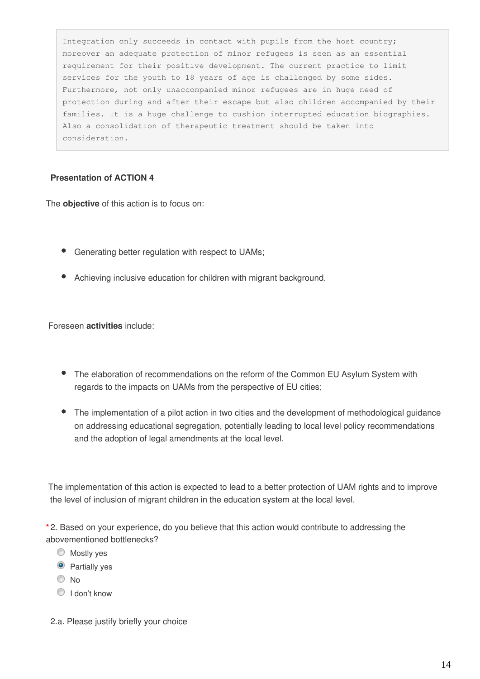Integration only succeeds in contact with pupils from the host country; moreover an adequate protection of minor refugees is seen as an essential requirement for their positive development. The current practice to limit services for the youth to 18 years of age is challenged by some sides. Furthermore, not only unaccompanied minor refugees are in huge need of protection during and after their escape but also children accompanied by their families. It is a huge challenge to cushion interrupted education biographies. Also a consolidation of therapeutic treatment should be taken into consideration.

#### **Presentation of ACTION 4**

The **objective** of this action is to focus on:

- Generating better regulation with respect to UAMs;
- Achieving inclusive education for children with migrant background.

Foreseen **activities** include:

- The elaboration of recommendations on the reform of the Common EU Asylum System with regards to the impacts on UAMs from the perspective of EU cities;
- The implementation of a pilot action in two cities and the development of methodological guidance on addressing educational segregation, potentially leading to local level policy recommendations and the adoption of legal amendments at the local level.

 The implementation of this action is expected to lead to a better protection of UAM rights and to improve the level of inclusion of migrant children in the education system at the local level.

**\*** 2. Based on your experience, do you believe that this action would contribute to addressing the abovementioned bottlenecks?

- **Mostly yes**
- **O** Partially yes
- $\odot$  No
- **I** don't know
- 2.a. Please justify briefly your choice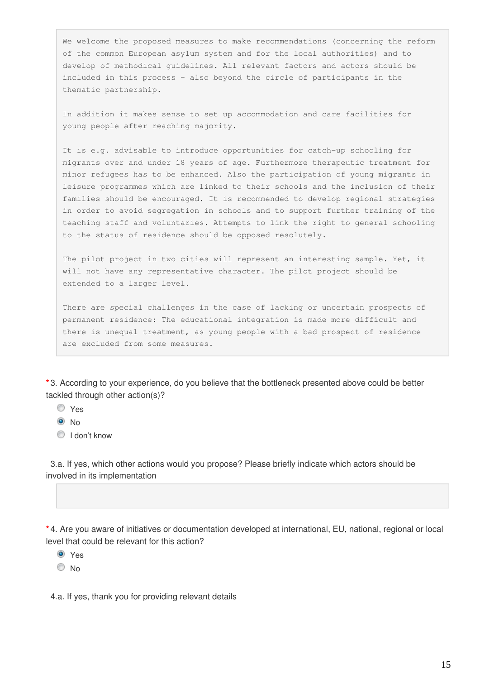We welcome the proposed measures to make recommendations (concerning the reform of the common European asylum system and for the local authorities) and to develop of methodical guidelines. All relevant factors and actors should be included in this process – also beyond the circle of participants in the thematic partnership.

In addition it makes sense to set up accommodation and care facilities for young people after reaching majority.

It is e.g. advisable to introduce opportunities for catch-up schooling for migrants over and under 18 years of age. Furthermore therapeutic treatment for minor refugees has to be enhanced. Also the participation of young migrants in leisure programmes which are linked to their schools and the inclusion of their families should be encouraged. It is recommended to develop regional strategies in order to avoid segregation in schools and to support further training of the teaching staff and voluntaries. Attempts to link the right to general schooling to the status of residence should be opposed resolutely.

The pilot project in two cities will represent an interesting sample. Yet, it will not have any representative character. The pilot project should be extended to a larger level.

There are special challenges in the case of lacking or uncertain prospects of permanent residence: The educational integration is made more difficult and there is unequal treatment, as young people with a bad prospect of residence are excluded from some measures.

**\*** 3. According to your experience, do you believe that the bottleneck presented above could be better tackled through other action(s)?

Yes

 $\odot$  No

I don't know

3.a. If yes, which other actions would you propose? Please briefly indicate which actors should be involved in its implementation

**\*** 4. Are you aware of initiatives or documentation developed at international, EU, national, regional or local level that could be relevant for this action?

**O** Yes

 $\odot$  No

4.a. If yes, thank you for providing relevant details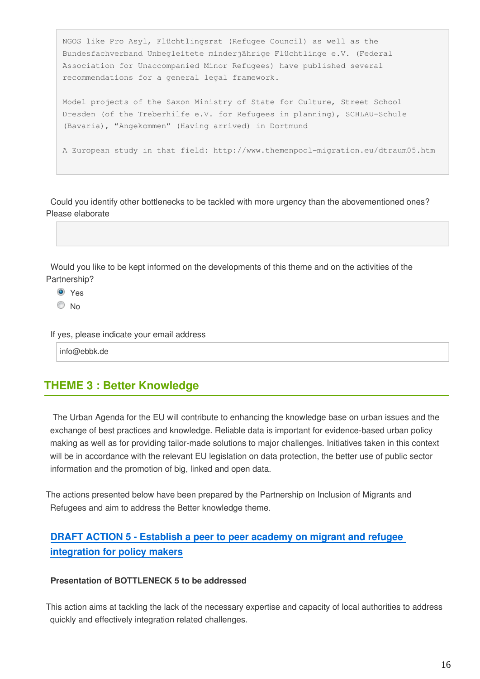```
NGOS like Pro Asyl, Flüchtlingsrat (Refugee Council) as well as the 
Bundesfachverband Unbegleitete minderjährige Flüchtlinge e.V. (Federal 
Association for Unaccompanied Minor Refugees) have published several 
recommendations for a general legal framework.
Model projects of the Saxon Ministry of State for Culture, Street School 
Dresden (of the Treberhilfe e.V. for Refugees in planning), SCHLAU-Schule 
(Bavaria), "Angekommen" (Having arrived) in Dortmund
A European study in that field: http://www.themenpool-migration.eu/dtraum05.htm
```
Could you identify other bottlenecks to be tackled with more urgency than the abovementioned ones? Please elaborate



- **O** Yes
- <sup>O</sup>No

If yes, please indicate your email address

info@ebbk.de

# **THEME 3 : Better Knowledge**

 The Urban Agenda for the EU will contribute to enhancing the knowledge base on urban issues and the exchange of best practices and knowledge. Reliable data is important for evidence-based urban policy making as well as for providing tailor-made solutions to major challenges. Initiatives taken in this context will be in accordance with the relevant EU legislation on data protection, the better use of public sector information and the promotion of big, linked and open data.

The actions presented below have been prepared by the Partnership on Inclusion of Migrants and Refugees and aim to address the Better knowledge theme.

## **[DRAFT ACTION 5 - Establish a peer to peer academy on migrant and refugee](https://ec.europa.eu/futurium/en/inclusion-migrants-and-refugees/background-paper-public-feedback#Action%205)  [integration for policy makers](https://ec.europa.eu/futurium/en/inclusion-migrants-and-refugees/background-paper-public-feedback#Action%205)**

#### **Presentation of BOTTLENECK 5 to be addressed**

This action aims at tackling the lack of the necessary expertise and capacity of local authorities to address quickly and effectively integration related challenges.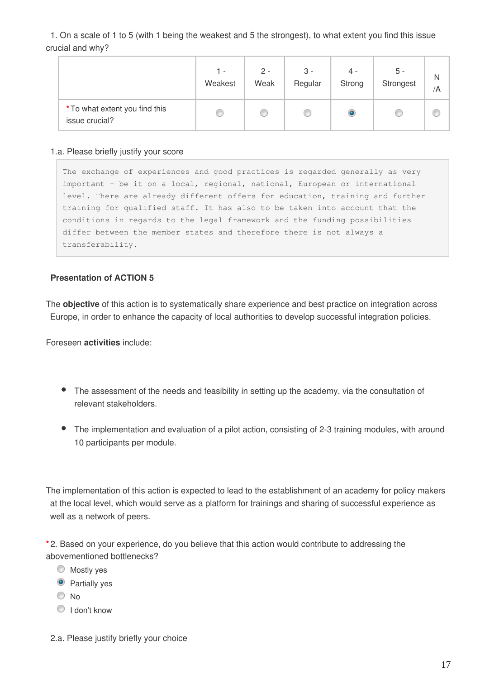1. On a scale of 1 to 5 (with 1 being the weakest and 5 the strongest), to what extent you find this issue crucial and why?

|                                                  | 1 -     | $2 -$ | $3 -$   | 4 -    | 5 -       | N  |
|--------------------------------------------------|---------|-------|---------|--------|-----------|----|
|                                                  | Weakest | Weak  | Regular | Strong | Strongest | /A |
| * To what extent you find this<br>issue crucial? |         | œ     |         | O      |           |    |

#### 1.a. Please briefly justify your score

The exchange of experiences and good practices is regarded generally as very important – be it on a local, regional, national, European or international level. There are already different offers for education, training and further training for qualified staff. It has also to be taken into account that the conditions in regards to the legal framework and the funding possibilities differ between the member states and therefore there is not always a transferability.

#### **Presentation of ACTION 5**

The **objective** of this action is to systematically share experience and best practice on integration across Europe, in order to enhance the capacity of local authorities to develop successful integration policies.

Foreseen **activities** include:

- The assessment of the needs and feasibility in setting up the academy, via the consultation of relevant stakeholders.
- The implementation and evaluation of a pilot action, consisting of 2-3 training modules, with around 10 participants per module.

The implementation of this action is expected to lead to the establishment of an academy for policy makers at the local level, which would serve as a platform for trainings and sharing of successful experience as well as a network of peers.

**\*** 2. Based on your experience, do you believe that this action would contribute to addressing the abovementioned bottlenecks?

- **Mostly yes**
- **O** Partially yes
- © No
- I don't know
- 2.a. Please justify briefly your choice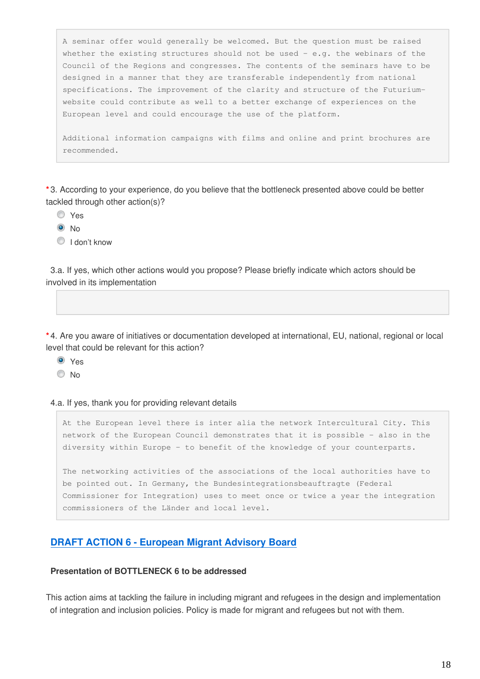A seminar offer would generally be welcomed. But the question must be raised whether the existing structures should not be used  $-$  e.g. the webinars of the Council of the Regions and congresses. The contents of the seminars have to be designed in a manner that they are transferable independently from national specifications. The improvement of the clarity and structure of the Futuriumwebsite could contribute as well to a better exchange of experiences on the European level and could encourage the use of the platform.

Additional information campaigns with films and online and print brochures are recommended.

**\*** 3. According to your experience, do you believe that the bottleneck presented above could be better tackled through other action(s)?

- Yes
- $\odot$  No
- **I** don't know

3.a. If yes, which other actions would you propose? Please briefly indicate which actors should be involved in its implementation

**\*** 4. Are you aware of initiatives or documentation developed at international, EU, national, regional or local level that could be relevant for this action?

<sup>O</sup> Yes

© No

4.a. If yes, thank you for providing relevant details

At the European level there is inter alia the network Intercultural City. This network of the European Council demonstrates that it is possible – also in the diversity within Europe – to benefit of the knowledge of your counterparts.

The networking activities of the associations of the local authorities have to be pointed out. In Germany, the Bundesintegrationsbeauftragte (Federal Commissioner for Integration) uses to meet once or twice a year the integration commissioners of the Länder and local level.

#### **[DRAFT ACTION 6 - European Migrant Advisory Board](https://ec.europa.eu/futurium/en/inclusion-migrants-and-refugees/background-paper-public-feedback#Action%206)**

#### **Presentation of BOTTLENECK 6 to be addressed**

This action aims at tackling the failure in including migrant and refugees in the design and implementation of integration and inclusion policies. Policy is made for migrant and refugees but not with them.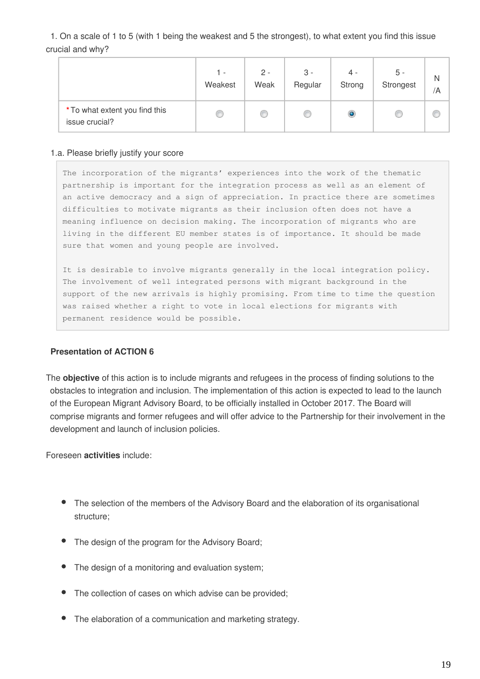1. On a scale of 1 to 5 (with 1 being the weakest and 5 the strongest), to what extent you find this issue crucial and why?

|                                                  | 1 -     | $2 -$ | $3 -$   | $4 -$     | 5 -       | N  |
|--------------------------------------------------|---------|-------|---------|-----------|-----------|----|
|                                                  | Weakest | Weak  | Regular | Strong    | Strongest | /A |
| * To what extent you find this<br>issue crucial? |         | O     | O       | $\bullet$ |           |    |

#### 1.a. Please briefly justify your score

The incorporation of the migrants' experiences into the work of the thematic partnership is important for the integration process as well as an element of an active democracy and a sign of appreciation. In practice there are sometimes difficulties to motivate migrants as their inclusion often does not have a meaning influence on decision making. The incorporation of migrants who are living in the different EU member states is of importance. It should be made sure that women and young people are involved.

It is desirable to involve migrants generally in the local integration policy. The involvement of well integrated persons with migrant background in the support of the new arrivals is highly promising. From time to time the question was raised whether a right to vote in local elections for migrants with permanent residence would be possible.

#### **Presentation of ACTION 6**

The **objective** of this action is to include migrants and refugees in the process of finding solutions to the obstacles to integration and inclusion. The implementation of this action is expected to lead to the launch of the European Migrant Advisory Board, to be officially installed in October 2017. The Board will comprise migrants and former refugees and will offer advice to the Partnership for their involvement in the development and launch of inclusion policies.

Foreseen **activities** include:

- The selection of the members of the Advisory Board and the elaboration of its organisational structure;
- The design of the program for the Advisory Board;
- The design of a monitoring and evaluation system;
- The collection of cases on which advise can be provided;
- The elaboration of a communication and marketing strategy.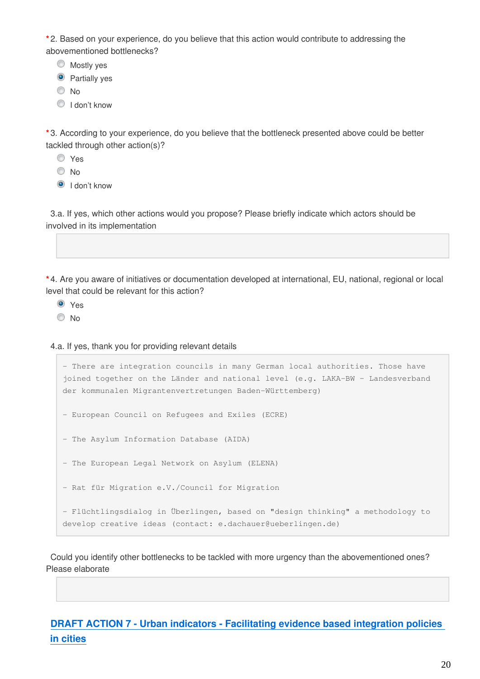**\*** 2. Based on your experience, do you believe that this action would contribute to addressing the abovementioned bottlenecks?

**Mostly yes** 

**O** Partially yes

© No

I don't know

**\*** 3. According to your experience, do you believe that the bottleneck presented above could be better tackled through other action(s)?

Yes

O No

**O** I don't know

3.a. If yes, which other actions would you propose? Please briefly indicate which actors should be involved in its implementation

**\*** 4. Are you aware of initiatives or documentation developed at international, EU, national, regional or local level that could be relevant for this action?

<sup>O</sup> Yes

<sup>O</sup>No

4.a. If yes, thank you for providing relevant details

```
- There are integration councils in many German local authorities. Those have 
joined together on the Länder and national level (e.g. LAKA-BW – Landesverband 
der kommunalen Migrantenvertretungen Baden-Württemberg)
- European Council on Refugees and Exiles (ECRE)
- The Asylum Information Database (AIDA)
- The European Legal Network on Asylum (ELENA)
- Rat für Migration e.V./Council for Migration
- Flüchtlingsdialog in Überlingen, based on "design thinking" a methodology to 
develop creative ideas (contact: e.dachauer@ueberlingen.de)
```
Could you identify other bottlenecks to be tackled with more urgency than the abovementioned ones? Please elaborate

**[DRAFT ACTION 7 - Urban indicators - Facilitating evidence based integration policies](https://ec.europa.eu/futurium/en/inclusion-migrants-and-refugees/background-paper-public-feedback#Action%207)  [in cities](https://ec.europa.eu/futurium/en/inclusion-migrants-and-refugees/background-paper-public-feedback#Action%207)**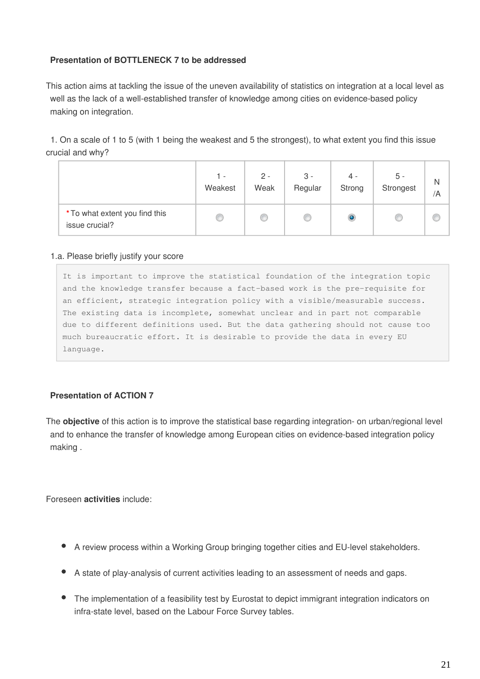#### **Presentation of BOTTLENECK 7 to be addressed**

This action aims at tackling the issue of the uneven availability of statistics on integration at a local level as well as the lack of a well-established transfer of knowledge among cities on evidence-based policy making on integration.

1. On a scale of 1 to 5 (with 1 being the weakest and 5 the strongest), to what extent you find this issue crucial and why?

|                                                  | 1 -     | $2 -$ | $3 -$   | $4 -$  | $5 -$     | N  |
|--------------------------------------------------|---------|-------|---------|--------|-----------|----|
|                                                  | Weakest | Weak  | Regular | Strong | Strongest | /A |
| * To what extent you find this<br>issue crucial? |         | ⊛     |         | O      |           |    |

#### 1.a. Please briefly justify your score

It is important to improve the statistical foundation of the integration topic and the knowledge transfer because a fact-based work is the pre-requisite for an efficient, strategic integration policy with a visible/measurable success. The existing data is incomplete, somewhat unclear and in part not comparable due to different definitions used. But the data gathering should not cause too much bureaucratic effort. It is desirable to provide the data in every EU language.

#### **Presentation of ACTION 7**

The **objective** of this action is to improve the statistical base regarding integration- on urban/regional level and to enhance the transfer of knowledge among European cities on evidence-based integration policy making .

Foreseen **activities** include:

- A review process within a Working Group bringing together cities and EU-level stakeholders.
- A state of play-analysis of current activities leading to an assessment of needs and gaps.
- The implementation of a feasibility test by Eurostat to depict immigrant integration indicators on infra-state level, based on the Labour Force Survey tables.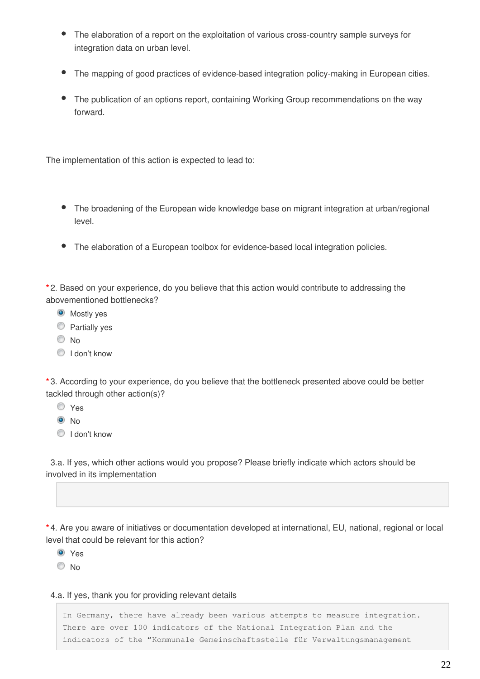- The elaboration of a report on the exploitation of various cross-country sample surveys for integration data on urban level.
- The mapping of good practices of evidence-based integration policy-making in European cities.
- The publication of an options report, containing Working Group recommendations on the way forward.

The implementation of this action is expected to lead to:

- The broadening of the European wide knowledge base on migrant integration at urban/regional level.
- The elaboration of a European toolbox for evidence-based local integration policies.

**\*** 2. Based on your experience, do you believe that this action would contribute to addressing the abovementioned bottlenecks?

- **O** Mostly yes
- **Partially yes**
- © No
- I don't know

**\*** 3. According to your experience, do you believe that the bottleneck presented above could be better tackled through other action(s)?

- Yes
- $\odot$  No
- C I don't know

3.a. If yes, which other actions would you propose? Please briefly indicate which actors should be involved in its implementation

**\*** 4. Are you aware of initiatives or documentation developed at international, EU, national, regional or local level that could be relevant for this action?

- <sup>O</sup> Yes
- © No

#### 4.a. If yes, thank you for providing relevant details

In Germany, there have already been various attempts to measure integration. There are over 100 indicators of the National Integration Plan and the indicators of the "Kommunale Gemeinschaftsstelle für Verwaltungsmanagement